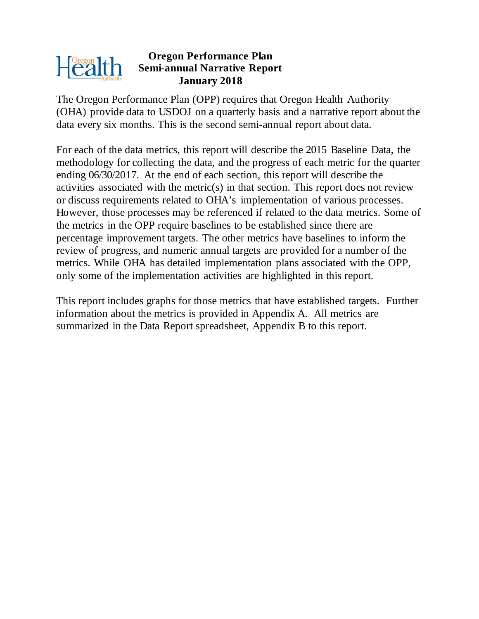

#### **Oregon Performance Plan Semi-annual Narrative Report January 2018**

The Oregon Performance Plan (OPP) requires that Oregon Health Authority (OHA) provide data to USDOJ on a quarterly basis and a narrative report about the data every six months. This is the second semi-annual report about data.

For each of the data metrics, this report will describe the 2015 Baseline Data, the methodology for collecting the data, and the progress of each metric for the quarter ending 06/30/2017. At the end of each section, this report will describe the activities associated with the metric(s) in that section. This report does not review or discuss requirements related to OHA's implementation of various processes. However, those processes may be referenced if related to the data metrics. Some of the metrics in the OPP require baselines to be established since there are percentage improvement targets. The other metrics have baselines to inform the review of progress, and numeric annual targets are provided for a number of the metrics. While OHA has detailed implementation plans associated with the OPP, only some of the implementation activities are highlighted in this report.

This report includes graphs for those metrics that have established targets. Further information about the metrics is provided in Appendix A. All metrics are summarized in the Data Report spreadsheet, Appendix B to this report.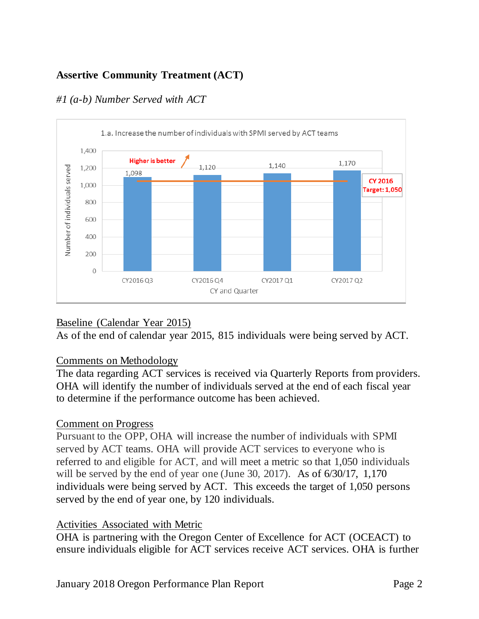# **Assertive Community Treatment (ACT)**



# *#1 (a-b) Number Served with ACT*

# Baseline (Calendar Year 2015)

As of the end of calendar year 2015, 815 individuals were being served by ACT.

# Comments on Methodology

The data regarding ACT services is received via Quarterly Reports from providers. OHA will identify the number of individuals served at the end of each fiscal year to determine if the performance outcome has been achieved.

# Comment on Progress

Pursuant to the OPP, OHA will increase the number of individuals with SPMI served by ACT teams. OHA will provide ACT services to everyone who is referred to and eligible for ACT, and will meet a metric so that 1,050 individuals will be served by the end of year one (June 30, 2017). As of  $6/30/17$ , 1,170 individuals were being served by ACT. This exceeds the target of 1,050 persons served by the end of year one, by 120 individuals.

# Activities Associated with Metric

OHA is partnering with the Oregon Center of Excellence for ACT (OCEACT) to ensure individuals eligible for ACT services receive ACT services. OHA is further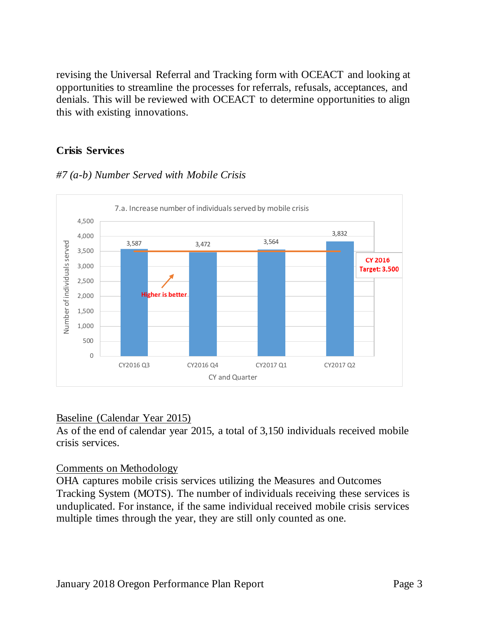revising the Universal Referral and Tracking form with OCEACT and looking at opportunities to streamline the processes for referrals, refusals, acceptances, and denials. This will be reviewed with OCEACT to determine opportunities to align this with existing innovations.

#### **Crisis Services**

## *#7 (a-b) Number Served with Mobile Crisis*



#### Baseline (Calendar Year 2015)

As of the end of calendar year 2015, a total of 3,150 individuals received mobile crisis services.

#### Comments on Methodology

OHA captures mobile crisis services utilizing the Measures and Outcomes Tracking System (MOTS). The number of individuals receiving these services is unduplicated. For instance, if the same individual received mobile crisis services multiple times through the year, they are still only counted as one.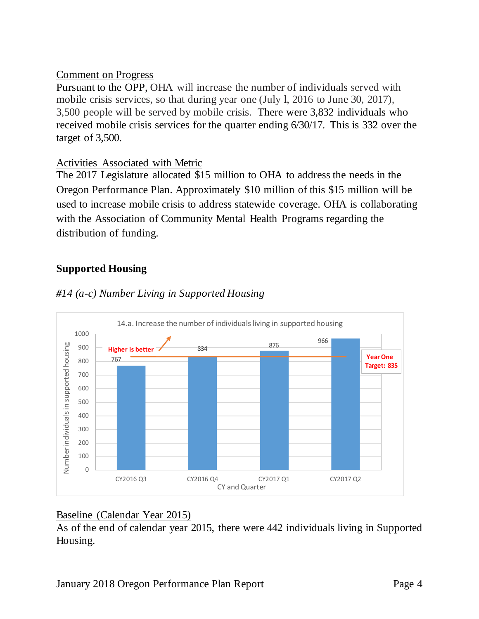## Comment on Progress

Pursuant to the OPP, OHA will increase the number of individuals served with mobile crisis services, so that during year one (July l, 2016 to June 30, 2017), 3,500 people will be served by mobile crisis. There were 3,832 individuals who received mobile crisis services for the quarter ending 6/30/17. This is 332 over the target of 3,500.

## Activities Associated with Metric

The 2017 Legislature allocated \$15 million to OHA to address the needs in the Oregon Performance Plan. Approximately \$10 million of this \$15 million will be used to increase mobile crisis to address statewide coverage. OHA is collaborating with the Association of Community Mental Health Programs regarding the distribution of funding.

# **Supported Housing**



## *#14 (a-c) Number Living in Supported Housing*

#### Baseline (Calendar Year 2015)

As of the end of calendar year 2015, there were 442 individuals living in Supported Housing.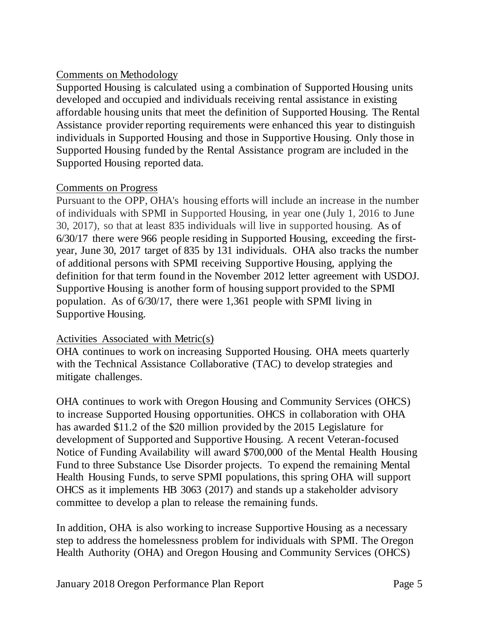# Comments on Methodology

Supported Housing is calculated using a combination of Supported Housing units developed and occupied and individuals receiving rental assistance in existing affordable housing units that meet the definition of Supported Housing. The Rental Assistance provider reporting requirements were enhanced this year to distinguish individuals in Supported Housing and those in Supportive Housing. Only those in Supported Housing funded by the Rental Assistance program are included in the Supported Housing reported data.

# Comments on Progress

Pursuant to the OPP, OHA's housing efforts will include an increase in the number of individuals with SPMI in Supported Housing, in year one (July 1, 2016 to June 30, 2017), so that at least 835 individuals will live in supported housing. As of 6/30/17 there were 966 people residing in Supported Housing, exceeding the firstyear, June 30, 2017 target of 835 by 131 individuals. OHA also tracks the number of additional persons with SPMI receiving Supportive Housing, applying the definition for that term found in the November 2012 letter agreement with USDOJ. Supportive Housing is another form of housing support provided to the SPMI population. As of 6/30/17, there were 1,361 people with SPMI living in Supportive Housing.

# Activities Associated with Metric(s)

OHA continues to work on increasing Supported Housing. OHA meets quarterly with the Technical Assistance Collaborative (TAC) to develop strategies and mitigate challenges.

OHA continues to work with Oregon Housing and Community Services (OHCS) to increase Supported Housing opportunities. OHCS in collaboration with OHA has awarded \$11.2 of the \$20 million provided by the 2015 Legislature for development of Supported and Supportive Housing. A recent Veteran-focused Notice of Funding Availability will award \$700,000 of the Mental Health Housing Fund to three Substance Use Disorder projects. To expend the remaining Mental Health Housing Funds, to serve SPMI populations, this spring OHA will support OHCS as it implements HB 3063 (2017) and stands up a stakeholder advisory committee to develop a plan to release the remaining funds.

In addition, OHA is also working to increase Supportive Housing as a necessary step to address the homelessness problem for individuals with SPMI. The Oregon Health Authority (OHA) and Oregon Housing and Community Services (OHCS)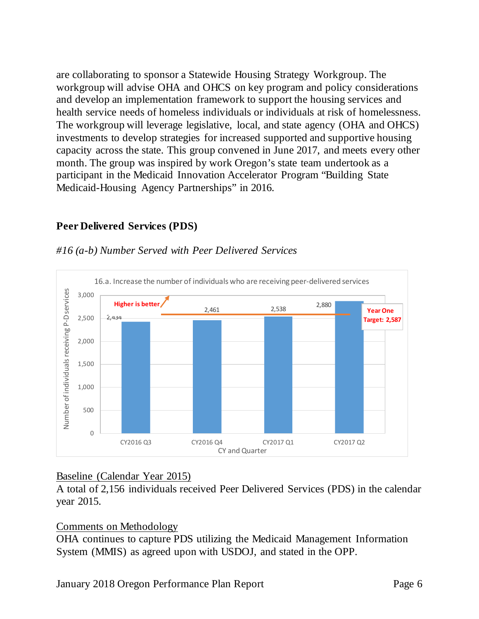are collaborating to sponsor a Statewide Housing Strategy Workgroup. The workgroup will advise OHA and OHCS on key program and policy considerations and develop an implementation framework to support the housing services and health service needs of homeless individuals or individuals at risk of homelessness. The workgroup will leverage legislative, local, and state agency (OHA and OHCS) investments to develop strategies for increased supported and supportive housing capacity across the state. This group convened in June 2017, and meets every other month. The group was inspired by work Oregon's state team undertook as a participant in the Medicaid Innovation Accelerator Program "Building State Medicaid-Housing Agency Partnerships" in 2016.

## **Peer Delivered Services (PDS)**



#### *#16 (a-b) Number Served with Peer Delivered Services*

#### Baseline (Calendar Year 2015)

A total of 2,156 individuals received Peer Delivered Services (PDS) in the calendar year 2015.

#### Comments on Methodology

OHA continues to capture PDS utilizing the Medicaid Management Information System (MMIS) as agreed upon with USDOJ, and stated in the OPP.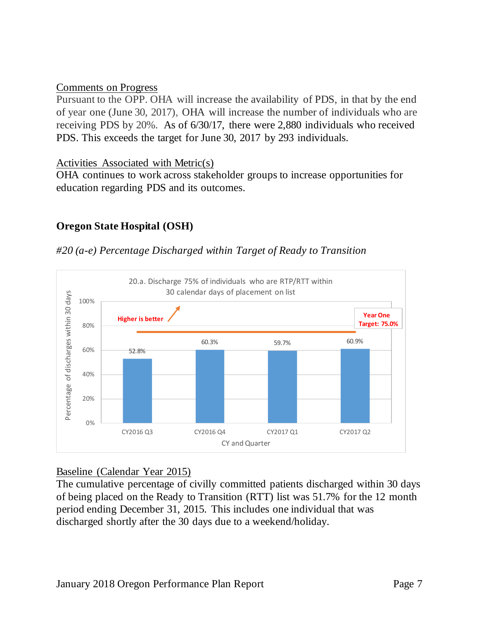#### Comments on Progress

Pursuant to the OPP. OHA will increase the availability of PDS, in that by the end of year one (June 30, 2017), OHA will increase the number of individuals who are receiving PDS by 20%. As of 6/30/17, there were 2,880 individuals who received PDS. This exceeds the target for June 30, 2017 by 293 individuals.

Activities Associated with Metric(s)

OHA continues to work across stakeholder groups to increase opportunities for education regarding PDS and its outcomes.

# **Oregon State Hospital (OSH)**

#### *#20 (a-e) Percentage Discharged within Target of Ready to Transition*



#### Baseline (Calendar Year 2015)

The cumulative percentage of civilly committed patients discharged within 30 days of being placed on the Ready to Transition (RTT) list was 51.7% for the 12 month period ending December 31, 2015. This includes one individual that was discharged shortly after the 30 days due to a weekend/holiday.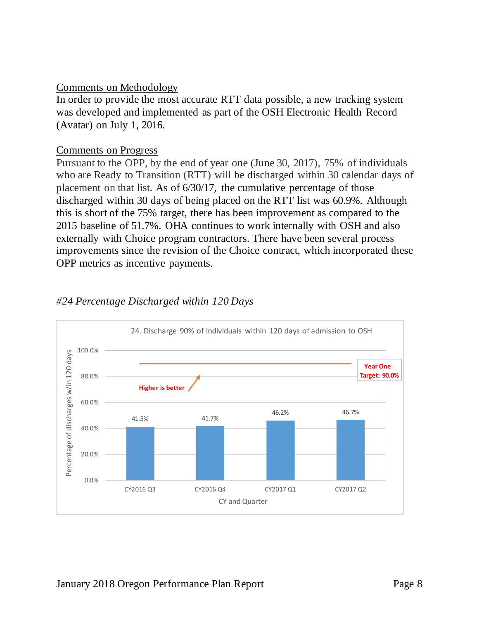#### Comments on Methodology

In order to provide the most accurate RTT data possible, a new tracking system was developed and implemented as part of the OSH Electronic Health Record (Avatar) on July 1, 2016.

#### Comments on Progress

Pursuant to the OPP, by the end of year one (June 30, 2017), 75% of individuals who are Ready to Transition (RTT) will be discharged within 30 calendar days of placement on that list. As of 6/30/17, the cumulative percentage of those discharged within 30 days of being placed on the RTT list was 60.9%. Although this is short of the 75% target, there has been improvement as compared to the 2015 baseline of 51.7%. OHA continues to work internally with OSH and also externally with Choice program contractors. There have been several process improvements since the revision of the Choice contract, which incorporated these OPP metrics as incentive payments.



# *#24 Percentage Discharged within 120 Days*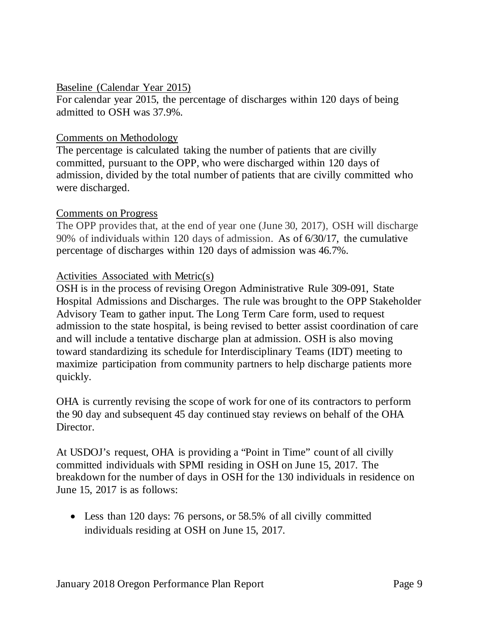#### Baseline (Calendar Year 2015)

For calendar year 2015, the percentage of discharges within 120 days of being admitted to OSH was 37.9%.

#### Comments on Methodology

The percentage is calculated taking the number of patients that are civilly committed, pursuant to the OPP, who were discharged within 120 days of admission, divided by the total number of patients that are civilly committed who were discharged.

#### Comments on Progress

The OPP provides that, at the end of year one (June 30, 2017), OSH will discharge 90% of individuals within 120 days of admission. As of 6/30/17, the cumulative percentage of discharges within 120 days of admission was 46.7%.

#### Activities Associated with Metric(s)

OSH is in the process of revising Oregon Administrative Rule 309-091, State Hospital Admissions and Discharges. The rule was brought to the OPP Stakeholder Advisory Team to gather input. The Long Term Care form, used to request admission to the state hospital, is being revised to better assist coordination of care and will include a tentative discharge plan at admission. OSH is also moving toward standardizing its schedule for Interdisciplinary Teams (IDT) meeting to maximize participation from community partners to help discharge patients more quickly.

OHA is currently revising the scope of work for one of its contractors to perform the 90 day and subsequent 45 day continued stay reviews on behalf of the OHA Director.

At USDOJ's request, OHA is providing a "Point in Time" count of all civilly committed individuals with SPMI residing in OSH on June 15, 2017. The breakdown for the number of days in OSH for the 130 individuals in residence on June 15, 2017 is as follows:

• Less than 120 days: 76 persons, or 58.5% of all civilly committed individuals residing at OSH on June 15, 2017.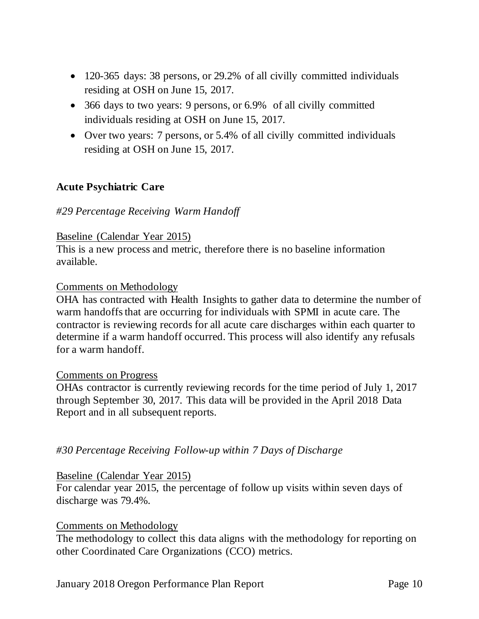- 120-365 days: 38 persons, or 29.2% of all civilly committed individuals residing at OSH on June 15, 2017.
- 366 days to two years: 9 persons, or 6.9% of all civilly committed individuals residing at OSH on June 15, 2017.
- Over two years: 7 persons, or 5.4% of all civilly committed individuals residing at OSH on June 15, 2017.

#### **Acute Psychiatric Care**

#### *#29 Percentage Receiving Warm Handoff*

#### Baseline (Calendar Year 2015)

This is a new process and metric, therefore there is no baseline information available.

#### Comments on Methodology

OHA has contracted with Health Insights to gather data to determine the number of warm handoffs that are occurring for individuals with SPMI in acute care. The contractor is reviewing records for all acute care discharges within each quarter to determine if a warm handoff occurred. This process will also identify any refusals for a warm handoff.

#### Comments on Progress

OHAs contractor is currently reviewing records for the time period of July 1, 2017 through September 30, 2017. This data will be provided in the April 2018 Data Report and in all subsequent reports.

*#30 Percentage Receiving Follow-up within 7 Days of Discharge*

#### Baseline (Calendar Year 2015)

For calendar year 2015, the percentage of follow up visits within seven days of discharge was 79.4%.

#### Comments on Methodology

The methodology to collect this data aligns with the methodology for reporting on other Coordinated Care Organizations (CCO) metrics.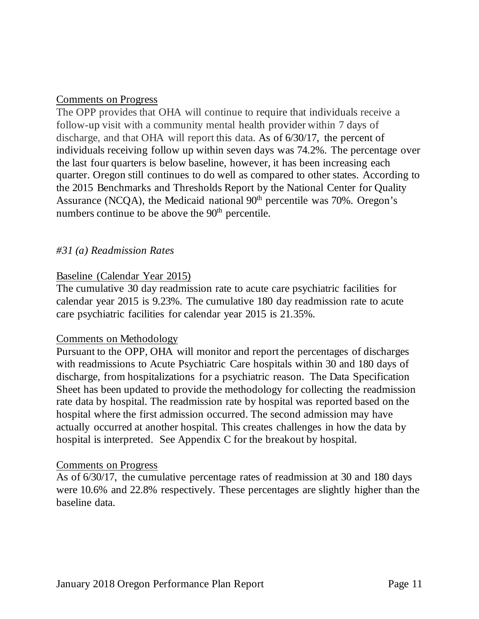#### Comments on Progress

The OPP provides that OHA will continue to require that individuals receive a follow-up visit with a community mental health provider within 7 days of discharge, and that OHA will report this data. As of 6/30/17, the percent of individuals receiving follow up within seven days was 74.2%. The percentage over the last four quarters is below baseline, however, it has been increasing each quarter. Oregon still continues to do well as compared to other states. According to the 2015 Benchmarks and Thresholds Report by the National Center for Quality Assurance (NCQA), the Medicaid national  $90<sup>th</sup>$  percentile was 70%. Oregon's numbers continue to be above the  $90<sup>th</sup>$  percentile.

#### *#31 (a) Readmission Rates*

#### Baseline (Calendar Year 2015)

The cumulative 30 day readmission rate to acute care psychiatric facilities for calendar year 2015 is 9.23%. The cumulative 180 day readmission rate to acute care psychiatric facilities for calendar year 2015 is 21.35%.

#### Comments on Methodology

Pursuant to the OPP, OHA will monitor and report the percentages of discharges with readmissions to Acute Psychiatric Care hospitals within 30 and 180 days of discharge, from hospitalizations for a psychiatric reason. The Data Specification Sheet has been updated to provide the methodology for collecting the readmission rate data by hospital. The readmission rate by hospital was reported based on the hospital where the first admission occurred. The second admission may have actually occurred at another hospital. This creates challenges in how the data by hospital is interpreted. See Appendix C for the breakout by hospital.

#### Comments on Progress

As of 6/30/17, the cumulative percentage rates of readmission at 30 and 180 days were 10.6% and 22.8% respectively. These percentages are slightly higher than the baseline data.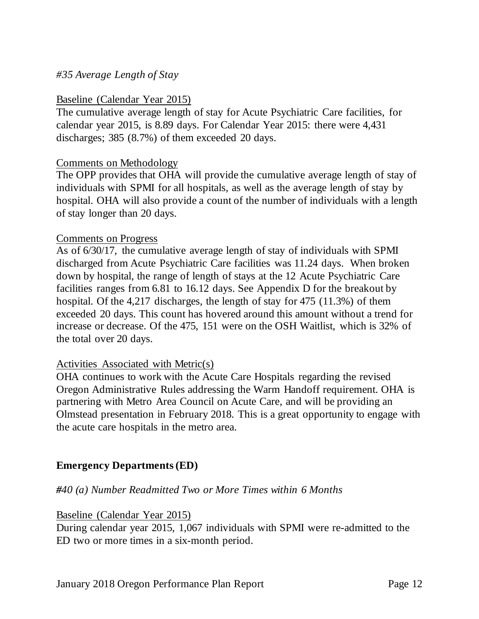#### *#35 Average Length of Stay*

#### Baseline (Calendar Year 2015)

The cumulative average length of stay for Acute Psychiatric Care facilities, for calendar year 2015, is 8.89 days. For Calendar Year 2015: there were 4,431 discharges; 385 (8.7%) of them exceeded 20 days.

#### Comments on Methodology

The OPP provides that OHA will provide the cumulative average length of stay of individuals with SPMI for all hospitals, as well as the average length of stay by hospital. OHA will also provide a count of the number of individuals with a length of stay longer than 20 days.

#### Comments on Progress

As of 6/30/17, the cumulative average length of stay of individuals with SPMI discharged from Acute Psychiatric Care facilities was 11.24 days. When broken down by hospital, the range of length of stays at the 12 Acute Psychiatric Care facilities ranges from 6.81 to 16.12 days. See Appendix D for the breakout by hospital. Of the 4,217 discharges, the length of stay for 475 (11.3%) of them exceeded 20 days. This count has hovered around this amount without a trend for increase or decrease. Of the 475, 151 were on the OSH Waitlist, which is 32% of the total over 20 days.

#### Activities Associated with Metric(s)

OHA continues to work with the Acute Care Hospitals regarding the revised Oregon Administrative Rules addressing the Warm Handoff requirement. OHA is partnering with Metro Area Council on Acute Care, and will be providing an Olmstead presentation in February 2018. This is a great opportunity to engage with the acute care hospitals in the metro area.

#### **Emergency Departments(ED)**

#### *#40 (a) Number Readmitted Two or More Times within 6 Months*

Baseline (Calendar Year 2015)

During calendar year 2015, 1,067 individuals with SPMI were re-admitted to the ED two or more times in a six-month period.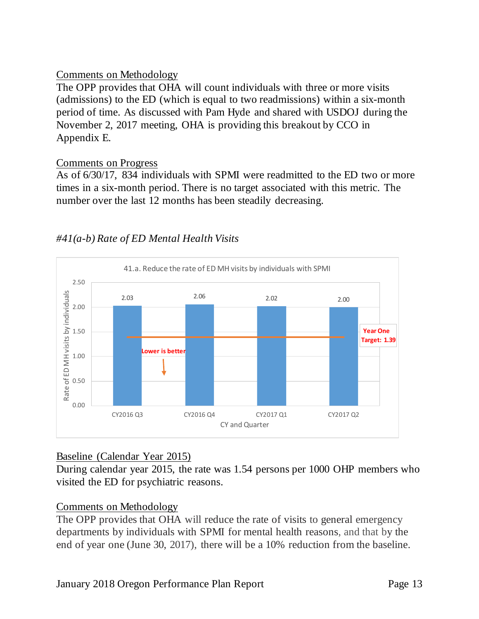# Comments on Methodology

The OPP provides that OHA will count individuals with three or more visits (admissions) to the ED (which is equal to two readmissions) within a six-month period of time. As discussed with Pam Hyde and shared with USDOJ during the November 2, 2017 meeting, OHA is providing this breakout by CCO in Appendix E.

# Comments on Progress

As of 6/30/17, 834 individuals with SPMI were readmitted to the ED two or more times in a six-month period. There is no target associated with this metric. The number over the last 12 months has been steadily decreasing.



# *#41(a-b) Rate of ED Mental Health Visits*

# Baseline (Calendar Year 2015)

During calendar year 2015, the rate was 1.54 persons per 1000 OHP members who visited the ED for psychiatric reasons.

# Comments on Methodology

The OPP provides that OHA will reduce the rate of visits to general emergency departments by individuals with SPMI for mental health reasons, and that by the end of year one (June 30, 2017), there will be a 10% reduction from the baseline.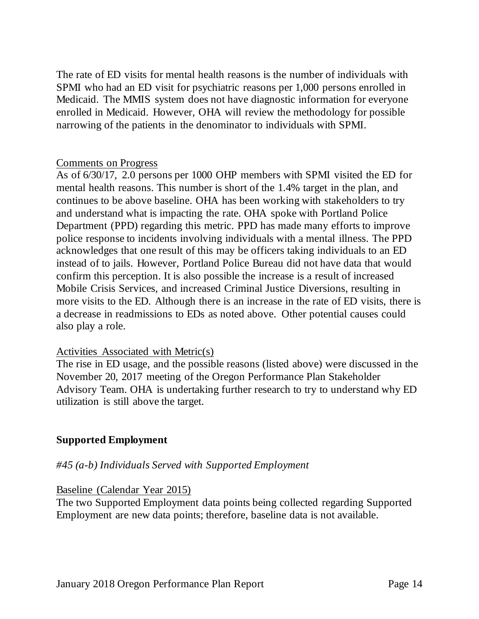The rate of ED visits for mental health reasons is the number of individuals with SPMI who had an ED visit for psychiatric reasons per 1,000 persons enrolled in Medicaid. The MMIS system does not have diagnostic information for everyone enrolled in Medicaid. However, OHA will review the methodology for possible narrowing of the patients in the denominator to individuals with SPMI.

#### Comments on Progress

As of 6/30/17, 2.0 persons per 1000 OHP members with SPMI visited the ED for mental health reasons. This number is short of the 1.4% target in the plan, and continues to be above baseline. OHA has been working with stakeholders to try and understand what is impacting the rate. OHA spoke with Portland Police Department (PPD) regarding this metric. PPD has made many efforts to improve police response to incidents involving individuals with a mental illness. The PPD acknowledges that one result of this may be officers taking individuals to an ED instead of to jails. However, Portland Police Bureau did not have data that would confirm this perception. It is also possible the increase is a result of increased Mobile Crisis Services, and increased Criminal Justice Diversions, resulting in more visits to the ED. Although there is an increase in the rate of ED visits, there is a decrease in readmissions to EDs as noted above. Other potential causes could also play a role.

#### Activities Associated with Metric(s)

The rise in ED usage, and the possible reasons (listed above) were discussed in the November 20, 2017 meeting of the Oregon Performance Plan Stakeholder Advisory Team. OHA is undertaking further research to try to understand why ED utilization is still above the target.

#### **Supported Employment**

#### *#45 (a-b) Individuals Served with Supported Employment*

#### Baseline (Calendar Year 2015)

The two Supported Employment data points being collected regarding Supported Employment are new data points; therefore, baseline data is not available.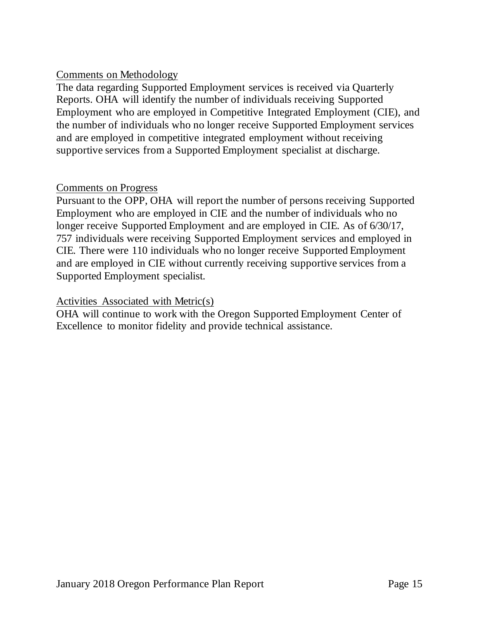## Comments on Methodology

The data regarding Supported Employment services is received via Quarterly Reports. OHA will identify the number of individuals receiving Supported Employment who are employed in Competitive Integrated Employment (CIE), and the number of individuals who no longer receive Supported Employment services and are employed in competitive integrated employment without receiving supportive services from a Supported Employment specialist at discharge.

#### Comments on Progress

Pursuant to the OPP, OHA will report the number of persons receiving Supported Employment who are employed in CIE and the number of individuals who no longer receive Supported Employment and are employed in CIE. As of 6/30/17, 757 individuals were receiving Supported Employment services and employed in CIE. There were 110 individuals who no longer receive Supported Employment and are employed in CIE without currently receiving supportive services from a Supported Employment specialist.

#### Activities Associated with Metric(s)

OHA will continue to work with the Oregon Supported Employment Center of Excellence to monitor fidelity and provide technical assistance.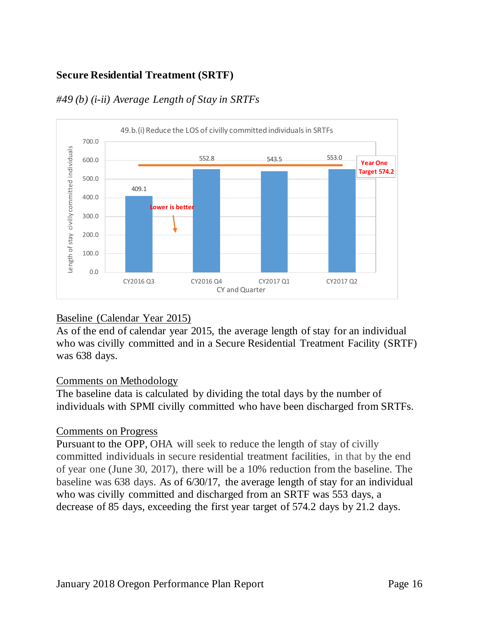# **Secure Residential Treatment (SRTF)**



# *#49 (b) (i-ii) Average Length of Stay in SRTFs*

#### Baseline (Calendar Year 2015)

As of the end of calendar year 2015, the average length of stay for an individual who was civilly committed and in a Secure Residential Treatment Facility (SRTF) was 638 days.

#### Comments on Methodology

The baseline data is calculated by dividing the total days by the number of individuals with SPMI civilly committed who have been discharged from SRTFs.

#### Comments on Progress

Pursuant to the OPP, OHA will seek to reduce the length of stay of civilly committed individuals in secure residential treatment facilities, in that by the end of year one (June 30, 2017), there will be a 10% reduction from the baseline. The baseline was 638 days. As of 6/30/17, the average length of stay for an individual who was civilly committed and discharged from an SRTF was 553 days, a decrease of 85 days, exceeding the first year target of 574.2 days by 21.2 days.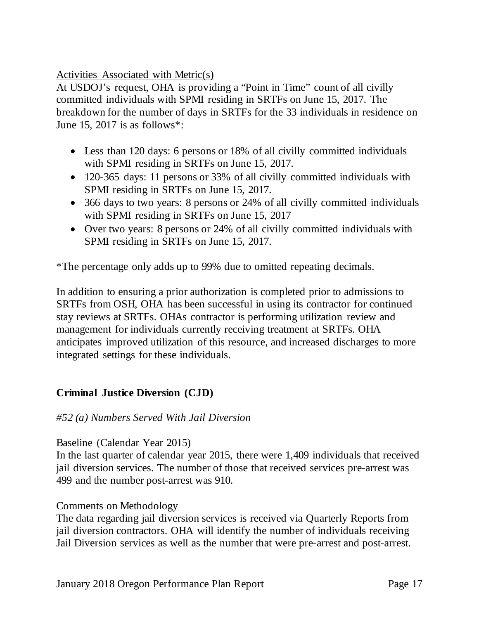Activities Associated with Metric(s)

At USDOJ's request, OHA is providing a "Point in Time" count of all civilly committed individuals with SPMI residing in SRTFs on June 15, 2017. The breakdown for the number of days in SRTFs for the 33 individuals in residence on June 15, 2017 is as follows\*:

- Less than 120 days: 6 persons or 18% of all civilly committed individuals with SPMI residing in SRTFs on June 15, 2017.
- 120-365 days: 11 persons or 33% of all civilly committed individuals with SPMI residing in SRTFs on June 15, 2017.
- 366 days to two years: 8 persons or 24% of all civilly committed individuals with SPMI residing in SRTFs on June 15, 2017
- Over two years: 8 persons or 24% of all civilly committed individuals with SPMI residing in SRTFs on June 15, 2017.

\*The percentage only adds up to 99% due to omitted repeating decimals.

In addition to ensuring a prior authorization is completed prior to admissions to SRTFs from OSH, OHA has been successful in using its contractor for continued stay reviews at SRTFs. OHAs contractor is performing utilization review and management for individuals currently receiving treatment at SRTFs. OHA anticipates improved utilization of this resource, and increased discharges to more integrated settings for these individuals.

# **Criminal Justice Diversion (CJD)**

#### *#52 (a) Numbers Served With Jail Diversion*

#### Baseline (Calendar Year 2015)

In the last quarter of calendar year 2015, there were 1,409 individuals that received jail diversion services. The number of those that received services pre-arrest was 499 and the number post-arrest was 910.

#### Comments on Methodology

The data regarding jail diversion services is received via Quarterly Reports from jail diversion contractors. OHA will identify the number of individuals receiving Jail Diversion services as well as the number that were pre-arrest and post-arrest.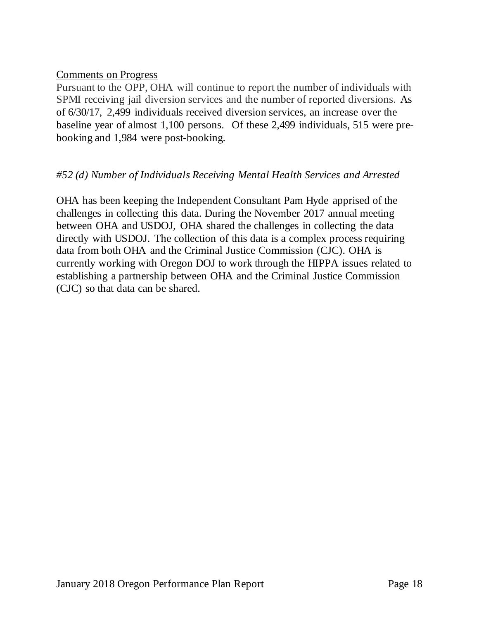#### Comments on Progress

Pursuant to the OPP, OHA will continue to report the number of individuals with SPMI receiving jail diversion services and the number of reported diversions. As of 6/30/17, 2,499 individuals received diversion services, an increase over the baseline year of almost 1,100 persons. Of these 2,499 individuals, 515 were prebooking and 1,984 were post-booking.

# *#52 (d) Number of Individuals Receiving Mental Health Services and Arrested*

OHA has been keeping the Independent Consultant Pam Hyde apprised of the challenges in collecting this data. During the November 2017 annual meeting between OHA and USDOJ, OHA shared the challenges in collecting the data directly with USDOJ. The collection of this data is a complex process requiring data from both OHA and the Criminal Justice Commission (CJC). OHA is currently working with Oregon DOJ to work through the HIPPA issues related to establishing a partnership between OHA and the Criminal Justice Commission (CJC) so that data can be shared.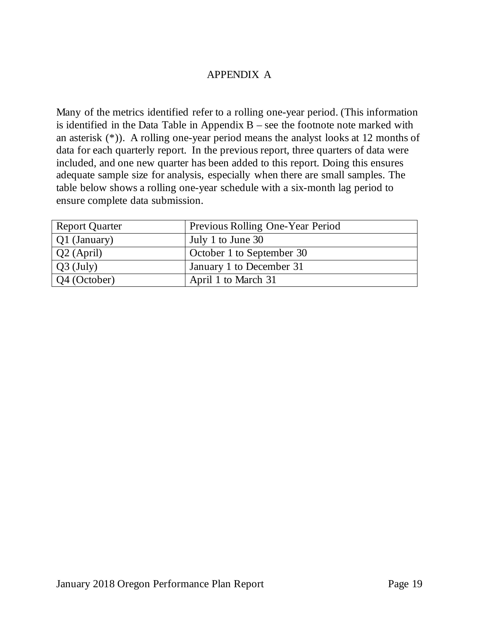## APPENDIX A

Many of the metrics identified refer to a rolling one-year period. (This information is identified in the Data Table in Appendix  $B$  – see the footnote note marked with an asterisk (\*)). A rolling one-year period means the analyst looks at 12 months of data for each quarterly report. In the previous report, three quarters of data were included, and one new quarter has been added to this report. Doing this ensures adequate sample size for analysis, especially when there are small samples. The table below shows a rolling one-year schedule with a six-month lag period to ensure complete data submission.

| <b>Report Quarter</b> | Previous Rolling One-Year Period |
|-----------------------|----------------------------------|
| Q1 (January)          | July 1 to June 30                |
| $Q2$ (April)          | October 1 to September 30        |
| $Q3$ (July)           | January 1 to December 31         |
| $\sqrt{Q4}$ (October) | April 1 to March 31              |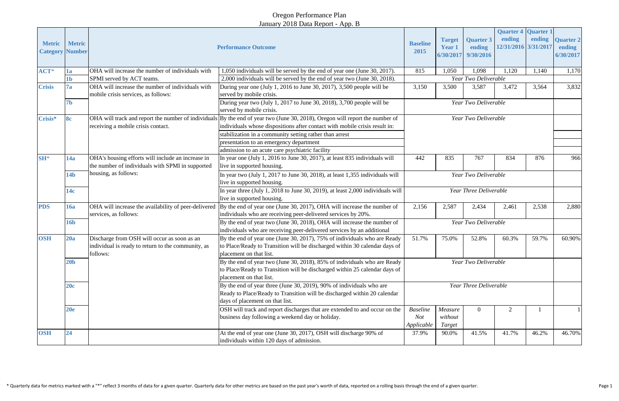# Oregon Performance Plan January 2018 Data Report - App. B

| <b>Metric</b>        | <b>Metric</b><br><b>Category Number</b>                                                       |                                                                                                               | <b>Performance Outcome</b>                                                                                                                                                                                 | <b>Baseline</b><br>2015              | <b>Target</b><br><b>Year 1</b> | <b>Quarter 3</b><br>ending<br>6/30/2017 9/30/2016 | ending<br>12/31/2016 3/31/2017 | <b>Quarter 4 Quarter 1</b><br>ending | <b>Quarter 2</b><br>ending<br>6/30/2017 |
|----------------------|-----------------------------------------------------------------------------------------------|---------------------------------------------------------------------------------------------------------------|------------------------------------------------------------------------------------------------------------------------------------------------------------------------------------------------------------|--------------------------------------|--------------------------------|---------------------------------------------------|--------------------------------|--------------------------------------|-----------------------------------------|
| ACT*                 | 1a                                                                                            | OHA will increase the number of individuals with                                                              | 1,050 individuals will be served by the end of year one (June 30, 2017).                                                                                                                                   | 815                                  | 1,050                          | 1,098                                             | 1,120                          | 1,140                                | 1,170                                   |
|                      | 1b                                                                                            | SPMI served by ACT teams.                                                                                     | 2,000 individuals will be served by the end of year two (June 30, 2018).                                                                                                                                   | Year Two Deliverable                 |                                |                                                   |                                |                                      |                                         |
| <b>Crisis</b>        | OHA will increase the number of individuals with<br>7a<br>mobile crisis services, as follows: |                                                                                                               | During year one (July 1, 2016 to June 30, 2017), 3,500 people will be<br>served by mobile crisis.                                                                                                          | 3,150                                | 3,500                          | 3,587                                             | 3,472                          | 3,564                                | 3,832                                   |
|                      | 7 <sub>b</sub>                                                                                |                                                                                                               | During year two (July 1, 2017 to June 30, 2018), 3,700 people will be<br>served by mobile crisis.                                                                                                          | Year Two Deliverable                 |                                |                                                   |                                |                                      |                                         |
| <b>8c</b><br>Crisis* |                                                                                               | receiving a mobile crisis contact.                                                                            | OHA will track and report the number of individuals By the end of year two (June 30, 2018), Oregon will report the number of<br>individuals whose dispositions after contact with mobile crisis result in: | Year Two Deliverable                 |                                |                                                   |                                |                                      |                                         |
|                      |                                                                                               |                                                                                                               | stabilization in a community setting rather than arrest<br>presentation to an emergency department<br>admission to an acute care psychiatric facility                                                      |                                      |                                |                                                   |                                |                                      |                                         |
| $SH^*$               | 14a                                                                                           | OHA's housing efforts will include an increase in<br>the number of individuals with SPMI in supported         | In year one (July 1, 2016 to June 30, 2017), at least 835 individuals will<br>live in supported housing.                                                                                                   | 442                                  | 835                            | 767                                               | 834                            | 876                                  | 966                                     |
|                      | 14 <sub>b</sub>                                                                               | housing, as follows:                                                                                          | In year two (July 1, 2017 to June 30, 2018), at least 1,355 individuals will<br>live in supported housing.                                                                                                 | Year Two Deliverable                 |                                |                                                   |                                |                                      |                                         |
|                      | 14c                                                                                           |                                                                                                               | In year three (July 1, 2018 to June 30, 2019), at least 2,000 individuals will<br>live in supported housing.                                                                                               | Year Three Deliverable               |                                |                                                   |                                |                                      |                                         |
| <b>PDS</b>           | <b>16a</b>                                                                                    | OHA will increase the availability of peer-delivered<br>services, as follows:                                 | By the end of year one (June 30, 2017), OHA will increase the number of<br>individuals who are receiving peer-delivered services by 20%.                                                                   | 2,156                                | 2,587                          | 2,434                                             | 2,461                          | 2,538                                | 2,880                                   |
|                      | <b>16b</b>                                                                                    |                                                                                                               | By the end of year two (June 30, 2018), OHA will increase the number of<br>individuals who are receiving peer-delivered services by an additional                                                          | Year Two Deliverable                 |                                |                                                   |                                |                                      |                                         |
| <b>OSH</b>           | 20a                                                                                           | Discharge from OSH will occur as soon as an<br>individual is ready to return to the community, as<br>follows: | By the end of year one (June 30, 2017), 75% of individuals who are Ready<br>to Place/Ready to Transition will be discharged within 30 calendar days of<br>placement on that list.                          | 51.7%                                | 75.0%                          | 52.8%                                             | 60.3%                          | 59.7%                                | 60.90%                                  |
|                      | 20 <sub>b</sub>                                                                               |                                                                                                               | By the end of year two (June 30, 2018), 85% of individuals who are Ready<br>to Place/Ready to Transition will be discharged within 25 calendar days of<br>placement on that list.                          |                                      |                                | Year Two Deliverable                              |                                |                                      |                                         |
|                      | 20c                                                                                           |                                                                                                               | By the end of year three (June 30, 2019), 90% of individuals who are<br>Ready to Place/Ready to Transition will be discharged within 20 calendar<br>days of placement on that list.                        | Year Three Deliverable               |                                |                                                   |                                |                                      |                                         |
|                      | 20e                                                                                           |                                                                                                               | OSH will track and report discharges that are extended to and occur on the<br>business day following a weekend day or holiday.                                                                             | <b>Baseline</b><br>Not<br>Applicable | Measure<br>without<br>Target   | $\theta$                                          |                                |                                      |                                         |
| <b>OSH</b>           | 24                                                                                            |                                                                                                               | At the end of year one (June 30, 2017), OSH will discharge 90% of<br>individuals within 120 days of admission.                                                                                             | 37.9%                                | 90.0%                          | 41.5%                                             | 41.7%                          | 46.2%                                | 46.70%                                  |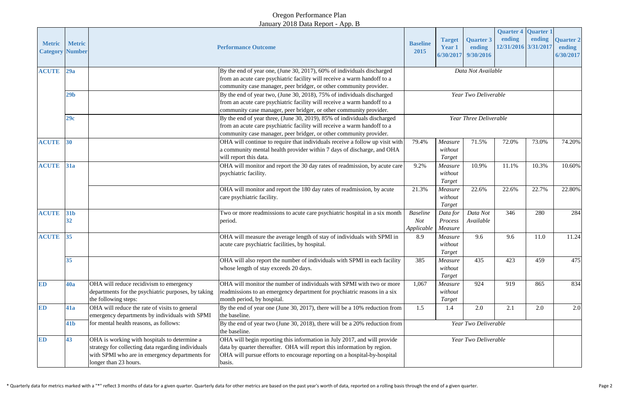# Oregon Performance Plan January 2018 Data Report - App. B

|                  |                                         |                                                                                                                                                                               |                                                                                                                                                                                                                                           |                                                                                                               |                                      |                                         | <b>Quarter 4 Quarter 1</b>     |        |                                         |
|------------------|-----------------------------------------|-------------------------------------------------------------------------------------------------------------------------------------------------------------------------------|-------------------------------------------------------------------------------------------------------------------------------------------------------------------------------------------------------------------------------------------|---------------------------------------------------------------------------------------------------------------|--------------------------------------|-----------------------------------------|--------------------------------|--------|-----------------------------------------|
| <b>Metric</b>    | <b>Metric</b><br><b>Category Number</b> | <b>Performance Outcome</b>                                                                                                                                                    |                                                                                                                                                                                                                                           | <b>Baseline</b><br>2015                                                                                       | <b>Target</b><br>Year 1<br>6/30/2017 | <b>Quarter 3</b><br>ending<br>9/30/2016 | ending<br>12/31/2016 3/31/2017 | ending | <b>Quarter 2</b><br>ending<br>6/30/2017 |
| <b>ACUTE</b>     | 29a                                     |                                                                                                                                                                               | By the end of year one, (June 30, 2017), 60% of individuals discharged<br>from an acute care psychiatric facility will receive a warm handoff to a<br>community case manager, peer bridger, or other community provider.                  |                                                                                                               | Data Not Available                   |                                         |                                |        |                                         |
|                  | 29 <sub>b</sub>                         |                                                                                                                                                                               | By the end of year two, (June 30, 2018), 75% of individuals discharged<br>from an acute care psychiatric facility will receive a warm handoff to a<br>community case manager, peer bridger, or other community provider.                  |                                                                                                               |                                      | Year Two Deliverable                    |                                |        |                                         |
|                  | 29c                                     |                                                                                                                                                                               | By the end of year three, (June 30, 2019), 85% of individuals discharged<br>from an acute care psychiatric facility will receive a warm handoff to a<br>community case manager, peer bridger, or other community provider.                | Year Three Deliverable                                                                                        |                                      |                                         |                                |        |                                         |
| <b>ACUTE</b> 30  |                                         |                                                                                                                                                                               | OHA will continue to require that individuals receive a follow up visit with<br>a community mental health provider within 7 days of discharge, and OHA<br>will report this data.                                                          | 79.4%<br>71.5%<br>72.0%<br>Measure<br>without<br>Target                                                       |                                      | 73.0%                                   | 74.20%                         |        |                                         |
| <b>ACUTE</b> 31a |                                         |                                                                                                                                                                               | OHA will monitor and report the 30 day rates of readmission, by acute care<br>psychiatric facility.                                                                                                                                       | 9.2%                                                                                                          | Measure<br>without<br>Target         | 10.9%                                   | 11.1%                          | 10.3%  | 10.60%                                  |
|                  |                                         |                                                                                                                                                                               | OHA will monitor and report the 180 day rates of readmission, by acute<br>care psychiatric facility.                                                                                                                                      | 21.3%                                                                                                         | Measure<br>without<br>Target         | 22.6%                                   | 22.6%                          | 22.7%  | 22.80%                                  |
| <b>ACUTE</b>     | <b>31b</b><br>32                        |                                                                                                                                                                               | Two or more readmissions to acute care psychiatric hospital in a six month<br>period.                                                                                                                                                     | Data Not<br>346<br>280<br><b>Baseline</b><br>Data for<br>Available<br>Not<br>Process<br>Applicable<br>Measure |                                      |                                         | 284                            |        |                                         |
| <b>ACUTE</b>     | 35                                      |                                                                                                                                                                               | OHA will measure the average length of stay of individuals with SPMI in<br>acute care psychiatric facilities, by hospital.                                                                                                                | 8.9                                                                                                           | Measure<br>without<br>Target         | 9.6                                     | 9.6                            | 11.0   | 11.24                                   |
|                  | 35                                      |                                                                                                                                                                               | OHA will also report the number of individuals with SPMI in each facility<br>whose length of stay exceeds 20 days.                                                                                                                        | 385                                                                                                           | Measure<br>without<br>Target         | 435                                     | 423                            | 459    | 475                                     |
| <b>ED</b>        | <b>40a</b>                              | OHA will reduce recidivism to emergency<br>departments for the psychiatric purposes, by taking<br>the following steps:                                                        | OHA will monitor the number of individuals with SPMI with two or more<br>readmissions to an emergency department for psychiatric reasons in a six<br>month period, by hospital.                                                           | 924<br>1,067<br>919<br>865<br>Measure<br>without<br>Target                                                    |                                      | 834                                     |                                |        |                                         |
| ED               | 41a                                     | OHA will reduce the rate of visits to general<br>emergency departments by individuals with SPMI                                                                               | By the end of year one (June 30, 2017), there will be a 10% reduction from<br>the baseline.                                                                                                                                               | 1.5                                                                                                           | 1.4                                  | 2.0                                     | 2.1                            | 2.0    | 2.0                                     |
|                  | 41 <sub>b</sub>                         | for mental health reasons, as follows:                                                                                                                                        | By the end of year two (June 30, 2018), there will be a 20% reduction from<br>the baseline.                                                                                                                                               | Year Two Deliverable                                                                                          |                                      |                                         |                                |        |                                         |
| <b>ED</b>        | 43                                      | OHA is working with hospitals to determine a<br>strategy for collecting data regarding individuals<br>with SPMI who are in emergency departments for<br>longer than 23 hours. | OHA will begin reporting this information in July 2017, and will provide<br>data by quarter thereafter. OHA will report this information by region.<br>OHA will pursue efforts to encourage reporting on a hospital-by-hospital<br>basis. | Year Two Deliverable                                                                                          |                                      |                                         |                                |        |                                         |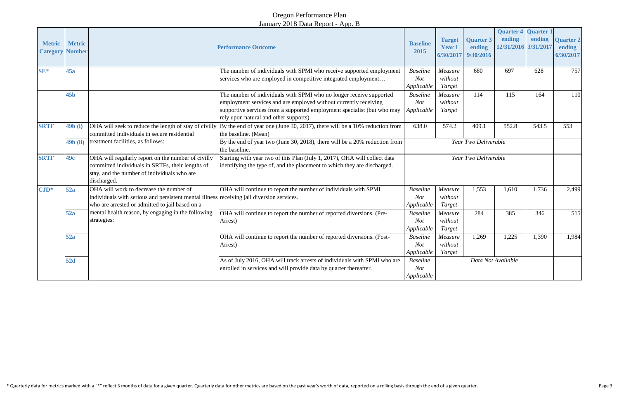# Oregon Performance Plan January 2018 Data Report - App. B

| <b>Metric</b><br><b>Category Number</b> | <b>Metric</b>   | <b>Performance Outcome</b>                                                                                                                                                              |                                                                                                                                                                                                                                                              | <b>Baseline</b><br>2015                     | <b>Target</b><br><b>Year 1</b><br>6/30/2017 | <b>Quarter 3</b><br>ending<br>9/30/2016 | <b>Quarter 4 Quarter 1</b><br>ending<br>12/31/2016 3/31/2017 | ending | <b>Quarter 2</b><br>ending<br>6/30/2017 |
|-----------------------------------------|-----------------|-----------------------------------------------------------------------------------------------------------------------------------------------------------------------------------------|--------------------------------------------------------------------------------------------------------------------------------------------------------------------------------------------------------------------------------------------------------------|---------------------------------------------|---------------------------------------------|-----------------------------------------|--------------------------------------------------------------|--------|-----------------------------------------|
| $SE*$                                   | 45a             |                                                                                                                                                                                         | The number of individuals with SPMI who receive supported employment<br>services who are employed in competitive integrated employment                                                                                                                       | <b>Baseline</b><br>Not<br>Applicable        | Measure<br>without<br>Target                | 680                                     | 697                                                          | 628    | 757                                     |
|                                         | 45 <sub>b</sub> |                                                                                                                                                                                         | The number of individuals with SPMI who no longer receive supported<br>employment services and are employed without currently receiving<br>supportive services from a supported employment specialist (but who may<br>rely upon natural and other supports). | <b>Baseline</b><br>Not<br>Applicable        | Measure<br>without<br>Target                | 114                                     | 115                                                          | 164    | 110                                     |
| <b>SRTF</b>                             | 49b (i)         | committed individuals in secure residential                                                                                                                                             | OHA will seek to reduce the length of stay of civilly $\vert$ By the end of year one (June 30, 2017), there will be a 10% reduction from<br>the baseline. (Mean)                                                                                             | 638.0                                       | 574.2                                       | 409.1                                   | 552.8                                                        | 543.5  | 553                                     |
|                                         | $49b$ (ii)      | treatment facilities, as follows:                                                                                                                                                       | By the end of year two (June 30, 2018), there will be a 20% reduction from<br>the baseline.                                                                                                                                                                  | Year Two Deliverable                        |                                             |                                         |                                                              |        |                                         |
| <b>SRTF</b>                             | 49c             | OHA will regularly report on the number of civilly<br>committed individuals in SRTFs, their lengths of<br>stay, and the number of individuals who are<br>discharged.                    | Starting with year two of this Plan (July 1, 2017), OHA will collect data<br>identifying the type of, and the placement to which they are discharged.                                                                                                        | Year Two Deliverable                        |                                             |                                         |                                                              |        |                                         |
| $\mathbf{CJD}^*$                        | 52a             | OHA will work to decrease the number of<br>individuals with serious and persistent mental illness receiving jail diversion services.<br>who are arrested or admitted to jail based on a | OHA will continue to report the number of individuals with SPMI                                                                                                                                                                                              | <b>Baseline</b><br>Not<br>Applicable        | Measure<br>without<br>Target                | 1,553                                   | 1,610                                                        | 1,736  | 2,499                                   |
|                                         | 52a             | mental health reason, by engaging in the following<br>strategies:                                                                                                                       | OHA will continue to report the number of reported diversions. (Pre-<br>Arrest)                                                                                                                                                                              | <b>Baseline</b><br>Not<br>Applicable        | Measure<br>without<br>Target                | 284                                     | 385                                                          | 346    | 515                                     |
|                                         | 52a             |                                                                                                                                                                                         | OHA will continue to report the number of reported diversions. (Post-<br>Arrest)                                                                                                                                                                             | <b>Baseline</b><br>Not<br>Applicable        | Measure<br>without<br>Target                | 1,269                                   | 1,225                                                        | 1,390  | 1,984                                   |
|                                         | <b>52d</b>      |                                                                                                                                                                                         | As of July 2016, OHA will track arrests of individuals with SPMI who are<br>enrolled in services and will provide data by quarter thereafter.                                                                                                                | <b>Baseline</b><br><b>Not</b><br>Applicable |                                             | Data Not Available                      |                                                              |        |                                         |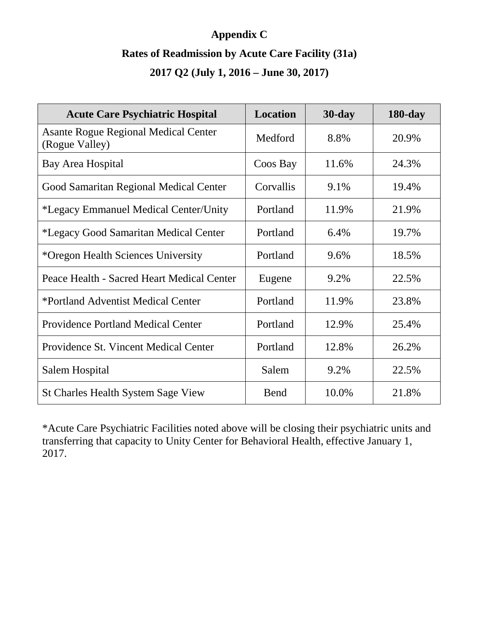# **Appendix C Rates of Readmission by Acute Care Facility (31a) 2017 Q2 (July 1, 2016 – June 30, 2017)**

| <b>Acute Care Psychiatric Hospital</b>                        | Location  | $30$ -day | $180$ -day |
|---------------------------------------------------------------|-----------|-----------|------------|
| <b>Asante Rogue Regional Medical Center</b><br>(Rogue Valley) | Medford   | 8.8%      | 20.9%      |
| Bay Area Hospital                                             | Coos Bay  | 11.6%     | 24.3%      |
| Good Samaritan Regional Medical Center                        | Corvallis | 9.1%      | 19.4%      |
| <i>*Legacy Emmanuel Medical Center/Unity</i>                  | Portland  | 11.9%     | 21.9%      |
| *Legacy Good Samaritan Medical Center                         | Portland  | 6.4%      | 19.7%      |
| *Oregon Health Sciences University                            | Portland  | 9.6%      | 18.5%      |
| Peace Health - Sacred Heart Medical Center                    | Eugene    | 9.2%      | 22.5%      |
| *Portland Adventist Medical Center                            | Portland  | 11.9%     | 23.8%      |
| <b>Providence Portland Medical Center</b>                     | Portland  | 12.9%     | 25.4%      |
| Providence St. Vincent Medical Center                         | Portland  | 12.8%     | 26.2%      |
| Salem Hospital                                                | Salem     | 9.2%      | 22.5%      |
| <b>St Charles Health System Sage View</b>                     | Bend      | 10.0%     | 21.8%      |

\*Acute Care Psychiatric Facilities noted above will be closing their psychiatric units and transferring that capacity to Unity Center for Behavioral Health, effective January 1, 2017.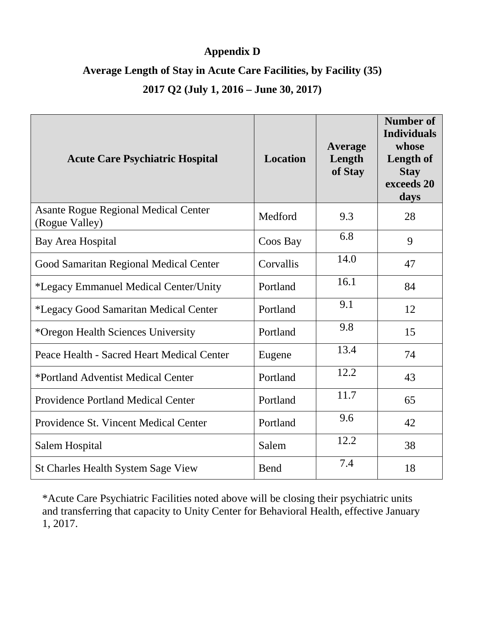# **Appendix D**

# **Average Length of Stay in Acute Care Facilities, by Facility (35) 2017 Q2 (July 1, 2016 – June 30, 2017)**

| <b>Acute Care Psychiatric Hospital</b>                        | Location  | Average<br>Length<br>of Stay | <b>Number of</b><br><b>Individuals</b><br>whose<br>Length of<br><b>Stay</b><br>exceeds 20<br>days |
|---------------------------------------------------------------|-----------|------------------------------|---------------------------------------------------------------------------------------------------|
| <b>Asante Rogue Regional Medical Center</b><br>(Rogue Valley) | Medford   | 9.3                          | 28                                                                                                |
| Bay Area Hospital                                             | Coos Bay  | 6.8                          | 9                                                                                                 |
| Good Samaritan Regional Medical Center                        | Corvallis | 14.0                         | 47                                                                                                |
| <i>*Legacy Emmanuel Medical Center/Unity</i>                  | Portland  | 16.1                         | 84                                                                                                |
| *Legacy Good Samaritan Medical Center                         | Portland  | 9.1                          | 12                                                                                                |
| *Oregon Health Sciences University                            | Portland  | 9.8                          | 15                                                                                                |
| Peace Health - Sacred Heart Medical Center                    | Eugene    | 13.4                         | 74                                                                                                |
| *Portland Adventist Medical Center                            | Portland  | 12.2                         | 43                                                                                                |
| <b>Providence Portland Medical Center</b>                     | Portland  | 11.7                         | 65                                                                                                |
| Providence St. Vincent Medical Center                         | Portland  | 9.6                          | 42                                                                                                |
| Salem Hospital                                                | Salem     | 12.2                         | 38                                                                                                |
| St Charles Health System Sage View                            | Bend      | 7.4                          | 18                                                                                                |

\*Acute Care Psychiatric Facilities noted above will be closing their psychiatric units and transferring that capacity to Unity Center for Behavioral Health, effective January 1, 2017.